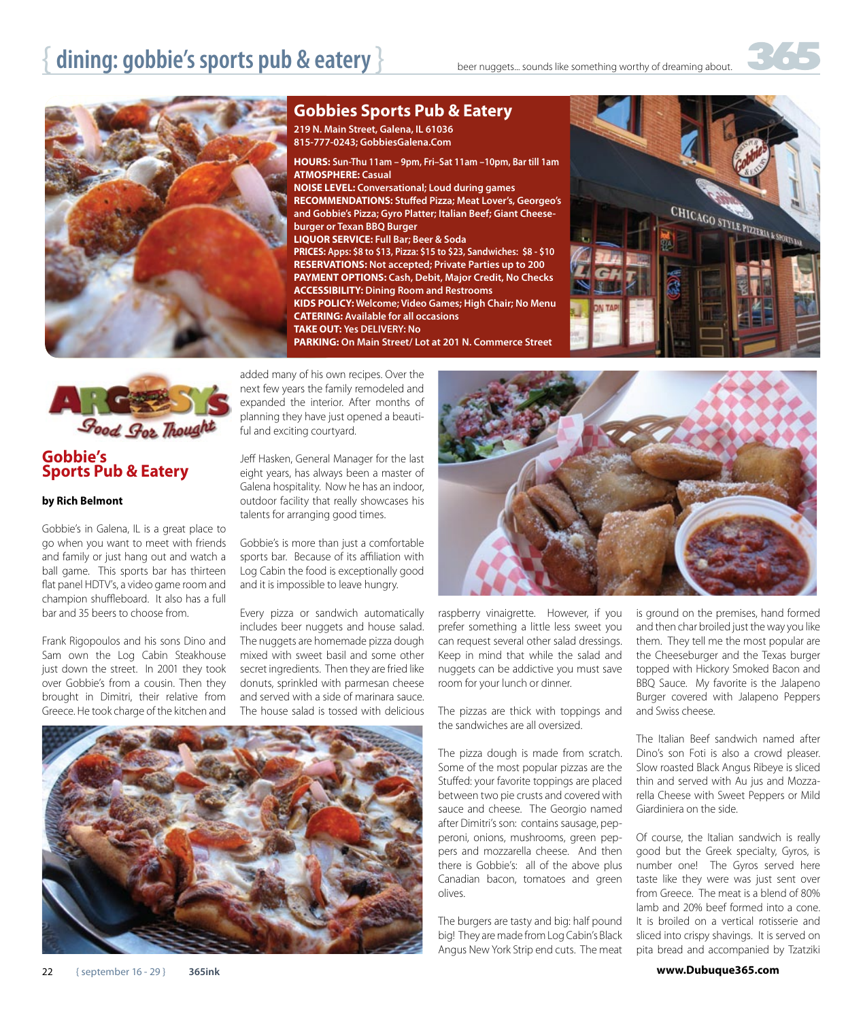



**Gobbies Sports Pub & Eatery**

**219 N. Main Street, Galena, IL 61036 815-777-0243; GobbiesGalena.Com**

**HOURS: Sun-Thu 11am – 9pm, Fri–Sat 11am –10pm, Bar till 1am ATMOSPHERE: Casual NOISE LEVEL: Conversational; Loud during games RECOMMENDATIONS: Stuffed Pizza; Meat Lover's, Georgeo's and Gobbie's Pizza; Gyro Platter; Italian Beef; Giant Cheeseburger or Texan BBQ Burger LIQUOR SERVICE: Full Bar; Beer & Soda PRICES: Apps: \$8 to \$13, Pizza: \$15 to \$23, Sandwiches: \$8 - \$10 RESERVATIONS: Not accepted; Private Parties up to 200 PAYMENT OPTIONS: Cash, Debit, Major Credit, No Checks ACCESSIBILITY: Dining Room and Restrooms KIDS POLICY: Welcome; Video Games; High Chair; No Menu CATERING: Available for all occasions TAKE OUT: Yes DELIVERY: No PARKING: On Main Street/ Lot at 201 N. Commerce Street**





## **Gobbie's Sports Pub & Eatery**

## **by Rich Belmont**

Gobbie's in Galena, IL is a great place to go when you want to meet with friends and family or just hang out and watch a ball game. This sports bar has thirteen flat panel HDTV's, a video game room and champion shuffleboard. It also has a full bar and 35 beers to choose from.

Frank Rigopoulos and his sons Dino and Sam own the Log Cabin Steakhouse just down the street. In 2001 they took over Gobbie's from a cousin. Then they brought in Dimitri, their relative from Greece. He took charge of the kitchen and

added many of his own recipes. Over the next few years the family remodeled and expanded the interior. After months of planning they have just opened a beautiful and exciting courtyard.

Jeff Hasken, General Manager for the last eight years, has always been a master of Galena hospitality. Now he has an indoor, outdoor facility that really showcases his talents for arranging good times.

Gobbie's is more than just a comfortable sports bar. Because of its affiliation with Log Cabin the food is exceptionally good and it is impossible to leave hungry.

Every pizza or sandwich automatically includes beer nuggets and house salad. The nuggets are homemade pizza dough mixed with sweet basil and some other secret ingredients. Then they are fried like donuts, sprinkled with parmesan cheese and served with a side of marinara sauce. The house salad is tossed with delicious



![](_page_0_Picture_18.jpeg)

raspberry vinaigrette. However, if you prefer something a little less sweet you can request several other salad dressings. Keep in mind that while the salad and nuggets can be addictive you must save room for your lunch or dinner.

The pizzas are thick with toppings and the sandwiches are all oversized.

The pizza dough is made from scratch. Some of the most popular pizzas are the Stuffed: your favorite toppings are placed between two pie crusts and covered with sauce and cheese. The Georgio named after Dimitri's son: contains sausage, pepperoni, onions, mushrooms, green peppers and mozzarella cheese. And then there is Gobbie's: all of the above plus Canadian bacon, tomatoes and green olives.

The burgers are tasty and big: half pound big! They are made from Log Cabin's Black Angus New York Strip end cuts. The meat is ground on the premises, hand formed and then char broiled just the way you like them. They tell me the most popular are the Cheeseburger and the Texas burger topped with Hickory Smoked Bacon and BBQ Sauce. My favorite is the Jalapeno Burger covered with Jalapeno Peppers and Swiss cheese.

The Italian Beef sandwich named after Dino's son Foti is also a crowd pleaser. Slow roasted Black Angus Ribeye is sliced thin and served with Au jus and Mozzarella Cheese with Sweet Peppers or Mild Giardiniera on the side.

Of course, the Italian sandwich is really good but the Greek specialty, Gyros, is number one! The Gyros served here taste like they were was just sent over from Greece. The meat is a blend of 80% lamb and 20% beef formed into a cone. It is broiled on a vertical rotisserie and sliced into crispy shavings. It is served on pita bread and accompanied by Tzatziki